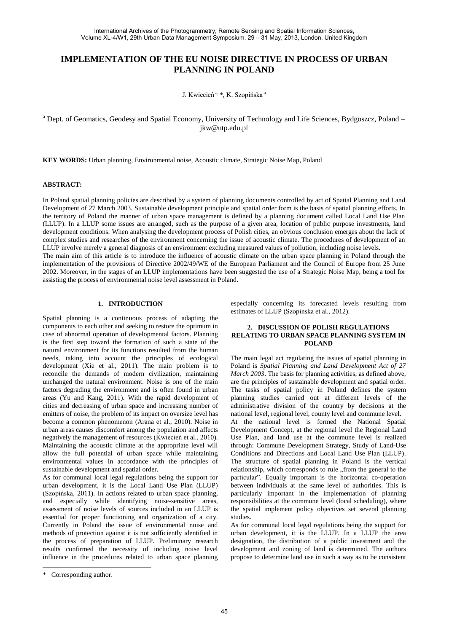# **IMPLEMENTATION OF THE EU NOISE DIRECTIVE IN PROCESS OF URBAN PLANNING IN POLAND**

J. Kwiecień<sup>a, \*</sup>, K. Szopińska<sup>a</sup>

<sup>a</sup> Dept. of Geomatics, Geodesy and Spatial Economy, University of Technology and Life Sciences, Bydgoszcz, Poland – jkw@utp.edu.pl

**KEY WORDS:** Urban planning, Environmental noise, Acoustic climate, Strategic Noise Map, Poland

#### **ABSTRACT:**

In Poland spatial planning policies are described by a system of planning documents controlled by act of Spatial Planning and Land Development of 27 March 2003. Sustainable development principle and spatial order form is the basis of spatial planning efforts. In the territory of Poland the manner of urban space management is defined by a planning document called Local Land Use Plan (LLUP). In a LLUP some issues are arranged, such as the purpose of a given area, location of public purpose investments, land development conditions. When analysing the development process of Polish cities, an obvious conclusion emerges about the lack of complex studies and researches of the environment concerning the issue of acoustic climate. The procedures of development of an LLUP involve merely a general diagnosis of an environment excluding measured values of pollution, including noise levels. The main aim of this article is to introduce the influence of acoustic climate on the urban space planning in Poland through the implementation of the provisions of Directive 2002/49/WE of the European Parliament and the Council of Europe from 25 June 2002. Moreover, in the stages of an LLUP implementations have been suggested the use of a Strategic Noise Map, being a tool for

#### **1. INTRODUCTION**

assisting the process of environmental noise level assessment in Poland.

Spatial planning is a continuous process of adapting the components to each other and seeking to restore the optimum in case of abnormal operation of developmental factors. Planning is the first step toward the formation of such a state of the natural environment for its functions resulted from the human needs, taking into account the principles of ecological development (Xie et al., 2011). The main problem is to reconcile the demands of modern civilization, maintaining unchanged the natural environment. Noise is one of the main factors degrading the environment and is often found in urban areas (Yu and Kang, 2011). With the rapid development of cities and decreasing of urban space and increasing number of emitters of noise, the problem of its impact on oversize level has become a common phenomenon (Arana et al., 2010). Noise in urban areas causes discomfort among the population and affects negatively the management of resources (Kwiecień et al., 2010). Maintaining the acoustic climate at the appropriate level will allow the full potential of urban space while maintaining environmental values in accordance with the principles of sustainable development and spatial order.

As for communal local legal regulations being the support for urban development, it is the Local Land Use Plan (LLUP) (Szopińska, 2011). In actions related to urban space planning, and especially while identifying noise-sensitive areas, assessment of noise levels of sources included in an LLUP is essential for proper functioning and organization of a city. Currently in Poland the issue of environmental noise and methods of protection against it is not sufficiently identified in the process of preparation of LLUP. Preliminary research results confirmed the necessity of including noise level influence in the procedures related to urban space planning especially concerning its forecasted levels resulting from estimates of LLUP (Szopińska et al., 2012).

## **2. DISCUSSION OF POLISH REGULATIONS RELATING TO URBAN SPACE PLANNING SYSTEM IN POLAND**

The main legal act regulating the issues of spatial planning in Poland is *Spatial Planning and Land Development Act of 27 March 2003*. The basis for planning activities, as defined above, are the principles of sustainable development and spatial order. The tasks of spatial policy in Poland defines the system planning studies carried out at different levels of the administrative division of the country by decisions at the national level, regional level, county level and commune level.

At the national level is formed the National Spatial Development Concept, at the regional level the Regional Land Use Plan, and land use at the commune level is realized through: Commune Development Strategy, Study of Land-Use Conditions and Directions and Local Land Use Plan (LLUP). The structure of spatial planning in Poland is the vertical relationship, which corresponds to rule "from the general to the particular". Equally important is the horizontal co-operation between individuals at the same level of authorities. This is particularly important in the implementation of planning responsibilities at the commune level (local scheduling), where the spatial implement policy objectives set several planning studies.

As for communal local legal regulations being the support for urban development, it is the LLUP. In a LLUP the area designation, the distribution of a public investment and the development and zoning of land is determined. The authors propose to determine land use in such a way as to be consistent

 $\overline{a}$ 

<sup>\*</sup> Corresponding author.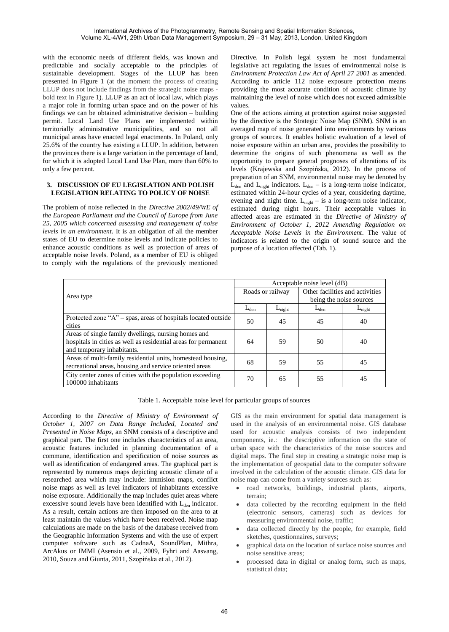with the economic needs of different fields, was known and predictable and socially acceptable to the principles of sustainable development. Stages of the LLUP has been presented in Figure 1 (at the moment the process of creating LLUP does not include findings from the strategic noise maps bold text in Figure 1). LLUP as an act of local law, which plays a major role in forming urban space and on the power of his findings we can be obtained administrative decision – building permit. Local Land Use Plans are implemented within territorially administrative municipalities, and so not all municipal areas have enacted legal enactments. In Poland, only 25.6% of the country has existing a LLUP. In addition, between the provinces there is a large variation in the percentage of land, for which it is adopted Local Land Use Plan, more than 60% to only a few percent.

## **3. DISCUSSION OF EU LEGISLATION AND POLISH LEGISLATION RELATING TO POLICY OF NOISE**

The problem of noise reflected in the *Directive 2002/49/WE of the European Parliament and the Council of Europe from June 25, 2005 which concerned assessing and management of noise levels in an environment*. It is an obligation of all the member states of EU to determine noise levels and indicate policies to enhance acoustic conditions as well as protection of areas of acceptable noise levels. Poland, as a member of EU is obliged to comply with the regulations of the previously mentioned Directive. In Polish legal system he most fundamental legislative act regulating the issues of environmental noise is *Environment Protection Law Act of April 27 2001* as amended. According to article 112 noise exposure protection means providing the most accurate condition of acoustic climate by maintaining the level of noise which does not exceed admissible values.

One of the actions aiming at protection against noise suggested by the directive is the Strategic Noise Map (SNM). SNM is an averaged map of noise generated into environments by various groups of sources. It enables holistic evaluation of a level of noise exposure within an urban area, provides the possibility to determine the origins of such phenomena as well as the opportunity to prepare general prognoses of alterations of its levels (Krajewska and Szopińska, 2012). In the process of preparation of an SNM, environmental noise may be denoted by  $L_{den}$  and  $L_{night}$  indicators.  $L_{den}$  – is a long-term noise indicator, estimated within 24-hour cycles of a year, considering daytime, evening and night time.  $L_{night} -$  is a long-term noise indicator, estimated during night hours. Their acceptable values in affected areas are estimated in the *Directive of Ministry of Environment of October 1, 2012 Amending Regulation on Acceptable Noise Levels in the Environment*. The value of indicators is related to the origin of sound source and the purpose of a location affected (Tab. 1).

| Area type                                                         | Acceptable noise level (dB) |                    |                                 |                    |
|-------------------------------------------------------------------|-----------------------------|--------------------|---------------------------------|--------------------|
|                                                                   | Roads or railway            |                    | Other facilities and activities |                    |
|                                                                   |                             |                    | being the noise sources         |                    |
|                                                                   | $L_{den}$                   | $L_{\text{night}}$ | $L_{den}$                       | $L_{\text{night}}$ |
| Protected zone " $A$ " – spas, areas of hospitals located outside | 50                          | 45                 | 45                              | 40                 |
| cities                                                            |                             |                    |                                 |                    |
| Areas of single family dwellings, nursing homes and               |                             |                    |                                 |                    |
| hospitals in cities as well as residential areas for permanent    | 64                          | 59                 | 50                              | 40                 |
| and temporary inhabitants.                                        |                             |                    |                                 |                    |
| Areas of multi-family residential units, homestead housing,       | 68                          | 59                 | 55                              | 45                 |
| recreational areas, housing and service oriented areas            |                             |                    |                                 |                    |
| City center zones of cities with the population exceeding         | 70                          | 65                 | 55                              | 45                 |
| 100000 inhabitants                                                |                             |                    |                                 |                    |

Table 1. Acceptable noise level for particular groups of sources

According to the *Directive of Ministry of Environment of October 1, 2007 on Data Range Included, Located and Presented in Noise Maps*, an SNM consists of a descriptive and graphical part. The first one includes characteristics of an area, acoustic features included in planning documentation of a commune, identification and specification of noise sources as well as identification of endangered areas. The graphical part is represented by numerous maps depicting acoustic climate of a researched area which may include: immision maps, conflict noise maps as well as level indicators of inhabitants excessive noise exposure. Additionally the map includes quiet areas where excessive sound levels have been identified with  $L_{den}$  indicator. As a result, certain actions are then imposed on the area to at least maintain the values which have been received. Noise map calculations are made on the basis of the database received from the Geographic Information Systems and with the use of expert computer software such as CadnaA, SoundPlan, Mithra, ArcAkus or IMMI (Asensio et al., 2009, Fyhri and Aasvang, 2010, Souza and Giunta, 2011, Szopińska et al., 2012).

GIS as the main environment for spatial data management is used in the analysis of an environmental noise. GIS database used for acoustic analysis consists of two independent components, ie.: the descriptive information on the state of urban space with the characteristics of the noise sources and digital maps. The final step in creating a strategic noise map is the implementation of geospatial data to the computer software involved in the calculation of the acoustic climate. GIS data for noise map can come from a variety sources such as:

- road networks, buildings, industrial plants, airports, terrain;
- data collected by the recording equipment in the field (electronic sensors, cameras) such as devices for measuring environmental noise, traffic;
- data collected directly by the people, for example, field sketches, questionnaires, surveys;
- graphical data on the location of surface noise sources and noise sensitive areas;
- processed data in digital or analog form, such as maps, statistical data: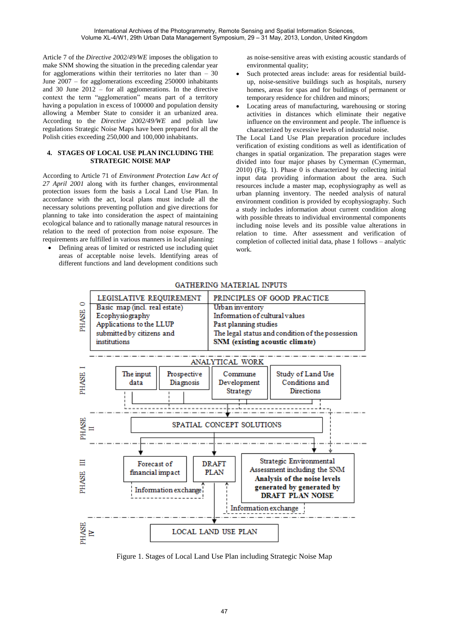Article 7 of the *Directive 2002/49/WE* imposes the obligation to make SNM showing the situation in the preceding calendar year for agglomerations within their territories no later than – 30 June 2007 – for agglomerations exceeding 250000 inhabitants and 30 June  $2012 -$  for all agglomerations. In the directive context the term "agglomeration" means part of a territory having a population in excess of 100000 and population density allowing a Member State to consider it an urbanized area. According to the *Directive 2002/49/WE* and polish law regulations Strategic Noise Maps have been prepared for all the Polish cities exceeding 250,000 and 100,000 inhabitants.

# **4. STAGES OF LOCAL USE PLAN INCLUDING THE STRATEGIC NOISE MAP**

According to Article 71 of *Environment Protection Law Act of 27 April 2001* along with its further changes, environmental protection issues form the basis a Local Land Use Plan. In accordance with the act, local plans must include all the necessary solutions preventing pollution and give directions for planning to take into consideration the aspect of maintaining ecological balance and to rationally manage natural resources in relation to the need of protection from noise exposure. The requirements are fulfilled in various manners in local planning:

 Defining areas of limited or restricted use including quiet areas of acceptable noise levels. Identifying areas of different functions and land development conditions such

as noise-sensitive areas with existing acoustic standards of environmental quality;

- Such protected areas include: areas for residential buildup, noise-sensitive buildings such as hospitals, nursery homes, areas for spas and for buildings of permanent or temporary residence for children and minors;
- Locating areas of manufacturing, warehousing or storing activities in distances which eliminate their negative influence on the environment and people. The influence is characterized by excessive levels of industrial noise.

The Local Land Use Plan preparation procedure includes verification of existing conditions as well as identification of changes in spatial organization. The preparation stages were divided into four major phases by Cymerman (Cymerman, 2010) (Fig. 1). Phase 0 is characterized by collecting initial input data providing information about the area. Such resources include a master map, ecophysiography as well as urban planning inventory. The needed analysis of natural environment condition is provided by ecophysiography. Such a study includes information about current condition along with possible threats to individual environmental components including noise levels and its possible value alterations in relation to time. After assessment and verification of completion of collected initial data, phase 1 follows – analytic work.



# GATHERING MATERIAL INPUTS

Figure 1. Stages of Local Land Use Plan including Strategic Noise Map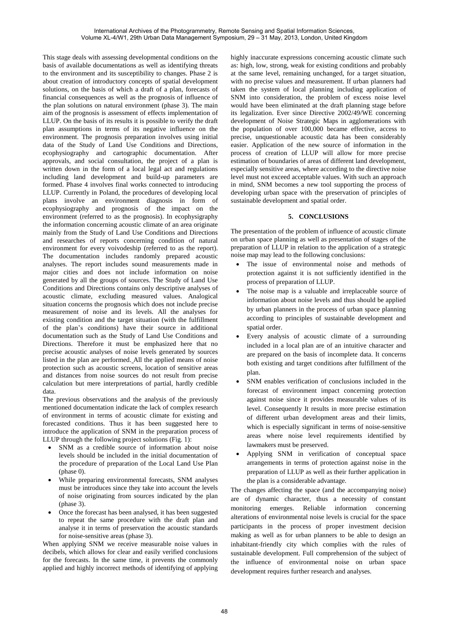This stage deals with assessing developmental conditions on the basis of available documentations as well as identifying threats to the environment and its susceptibility to changes. Phase 2 is about creation of introductory concepts of spatial development solutions, on the basis of which a draft of a plan, forecasts of financial consequences as well as the prognosis of influence of the plan solutions on natural environment (phase 3). The main aim of the prognosis is assessment of effects implementation of LLUP. On the basis of its results it is possible to verify the draft plan assumptions in terms of its negative influence on the environment. The prognosis preparation involves using initial data of the Study of Land Use Conditions and Directions, ecophysiography and cartographic documentation. After approvals, and social consultation, the project of a plan is written down in the form of a local legal act and regulations including land development and build-up parameters are formed. Phase 4 involves final works connected to introducing LLUP. Currently in Poland, the procedures of developing local plans involve an environment diagnosis in form of ecophysiography and prognosis of the impact on the environment (referred to as the prognosis). In ecophysigraphy the information concerning acoustic climate of an area originate mainly from the Study of Land Use Conditions and Directions and researches of reports concerning condition of natural environment for every voivodeship (referred to as the report). The documentation includes randomly prepared acoustic analyses. The report includes sound measurements made in major cities and does not include information on noise generated by all the groups of sources. The Study of Land Use Conditions and Directions contains only descriptive analyses of acoustic climate, excluding measured values. Analogical situation concerns the prognosis which does not include precise measurement of noise and its levels. All the analyses for existing condition and the target situation (with the fulfillment of the plan's conditions) have their source in additional documentation such as the Study of Land Use Conditions and Directions. Therefore it must be emphasized here that no precise acoustic analyses of noise levels generated by sources listed in the plan are performed. All the applied means of noise protection such as acoustic screens, location of sensitive areas and distances from noise sources do not result from precise calculation but mere interpretations of partial, hardly credible data.

The previous observations and the analysis of the previously mentioned documentation indicate the lack of complex research of environment in terms of acoustic climate for existing and forecasted conditions. Thus it has been suggested here to introduce the application of SNM in the preparation process of LLUP through the following project solutions (Fig. 1):

- SNM as a credible source of information about noise levels should be included in the initial documentation of the procedure of preparation of the Local Land Use Plan (phase 0).
- While preparing environmental forecasts, SNM analyses must be introduces since they take into account the levels of noise originating from sources indicated by the plan (phase 3).
- Once the forecast has been analysed, it has been suggested to repeat the same procedure with the draft plan and analyse it in terms of preservation the acoustic standards for noise-sensitive areas (phase 3).

When applying SNM we receive measurable noise values in decibels, which allows for clear and easily verified conclusions for the forecasts. In the same time, it prevents the commonly applied and highly incorrect methods of identifying of applying

highly inaccurate expressions concerning acoustic climate such as: high, low, strong, weak for existing conditions and probably at the same level, remaining unchanged, for a target situation, with no precise values and measurement. If urban planners had taken the system of local planning including application of SNM into consideration, the problem of excess noise level would have been eliminated at the draft planning stage before its legalization. Ever since Directive 2002/49/WE concerning development of Noise Strategic Maps in agglomerations with the population of over 100,000 became effective, access to precise, unquestionable acoustic data has been considerably easier. Application of the new source of information in the process of creation of LLUP will allow for more precise estimation of boundaries of areas of different land development, especially sensitive areas, where according to the directive noise level must not exceed acceptable values. With such an approach in mind, SNM becomes a new tool supporting the process of developing urban space with the preservation of principles of sustainable development and spatial order.

## **5. CONCLUSIONS**

The presentation of the problem of influence of acoustic climate on urban space planning as well as presentation of stages of the preparation of LLUP in relation to the application of a strategic noise map may lead to the following conclusions:

- The issue of environmental noise and methods of protection against it is not sufficiently identified in the process of preparation of LLUP.
- The noise map is a valuable and irreplaceable source of information about noise levels and thus should be applied by urban planners in the process of urban space planning according to principles of sustainable development and spatial order.
- Every analysis of acoustic climate of a surrounding included in a local plan are of an intuitive character and are prepared on the basis of incomplete data. It concerns both existing and target conditions after fulfillment of the plan.
- SNM enables verification of conclusions included in the forecast of environment impact concerning protection against noise since it provides measurable values of its level. Consequently It results in more precise estimation of different urban development areas and their limits, which is especially significant in terms of noise-sensitive areas where noise level requirements identified by lawmakers must be preserved.
- Applying SNM in verification of conceptual space arrangements in terms of protection against noise in the preparation of LLUP as well as their further application in the plan is a considerable advantage.

The changes affecting the space (and the accompanying noise) are of dynamic character, thus a necessity of constant monitoring emerges. Reliable information concerning alterations of environmental noise levels is crucial for the space participants in the process of proper investment decision making as well as for urban planners to be able to design an inhabitant-friendly city which complies with the rules of sustainable development. Full comprehension of the subject of the influence of environmental noise on urban space development requires further research and analyses.